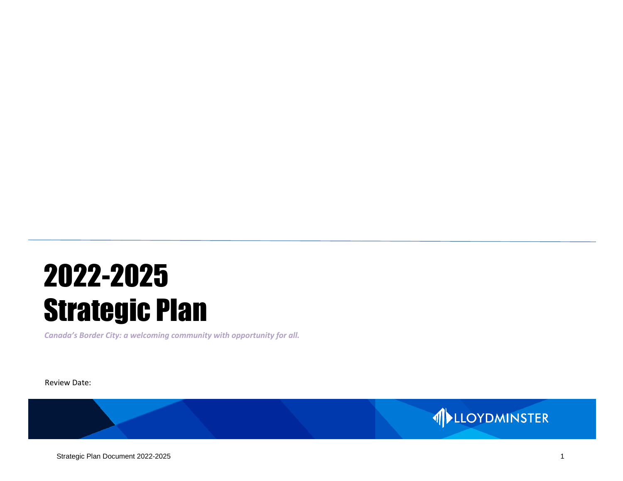# 2022-2025 Strategic Plan

*Canada's Border City: a welcoming community with opportunity for all.*

Review Date:

#### Strategic Plan Document 2022-2025 1

1 LLOYDMINSTER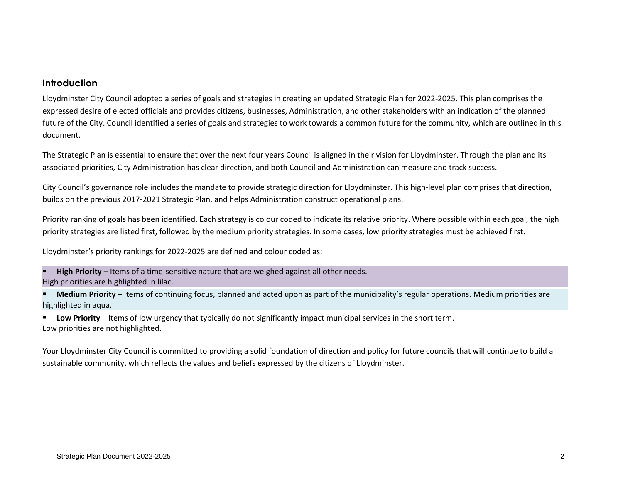#### **Introduction**

Lloydminster City Council adopted a series of goals and strategies in creating an updated Strategic Plan for 2022-2025. This plan comprises the expressed desire of elected officials and provides citizens, businesses, Administration, and other stakeholders with an indication of the planned future of the City. Council identified a series of goals and strategies to work towards a common future for the community, which are outlined in this document.

The Strategic Plan is essential to ensure that over the next four years Council is aligned in their vision for Lloydminster. Through the plan and its associated priorities, City Administration has clear direction, and both Council and Administration can measure and track success.

City Council's governance role includes the mandate to provide strategic direction for Lloydminster. This high-level plan comprises that direction, builds on the previous 2017-2021 Strategic Plan, and helps Administration construct operational plans.

Priority ranking of goals has been identified. Each strategy is colour coded to indicate its relative priority. Where possible within each goal, the high priority strategies are listed first, followed by the medium priority strategies. In some cases, low priority strategies must be achieved first.

Lloydminster's priority rankings for 2022-2025 are defined and colour coded as:

High Priority – Items of a time-sensitive nature that are weighed against all other needs. High priorities are highlighted in lilac.

**EXED Medium Priority** – Items of continuing focus, planned and acted upon as part of the municipality's regular operations. Medium priorities are highlighted in aqua.

**EXECT AT A LOW Priority** – Items of low urgency that typically do not significantly impact municipal services in the short term. Low priorities are not highlighted.

Your Lloydminster City Council is committed to providing a solid foundation of direction and policy for future councils that will continue to build a sustainable community, which reflects the values and beliefs expressed by the citizens of Lloydminster.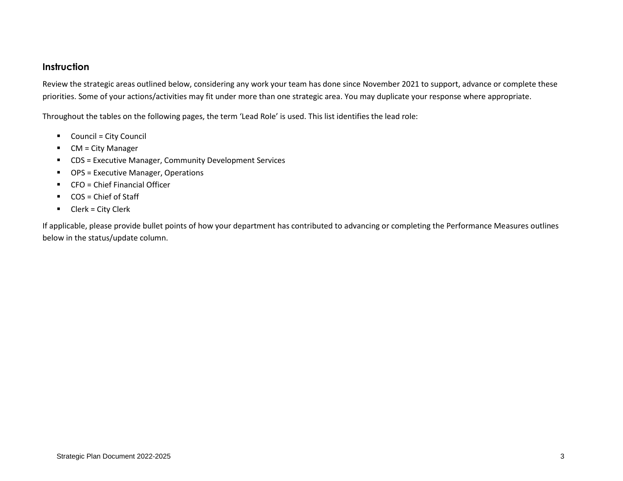#### **Instruction**

Review the strategic areas outlined below, considering any work your team has done since November 2021 to support, advance or complete these priorities. Some of your actions/activities may fit under more than one strategic area. You may duplicate your response where appropriate.

Throughout the tables on the following pages, the term 'Lead Role' is used. This list identifies the lead role:

- Council = City Council
- CM = City Manager
- CDS = Executive Manager, Community Development Services
- OPS = Executive Manager, Operations
- CFO = Chief Financial Officer
- COS = Chief of Staff
- Clerk = City Clerk

If applicable, please provide bullet points of how your department has contributed to advancing or completing the Performance Measures outlines below in the status/update column.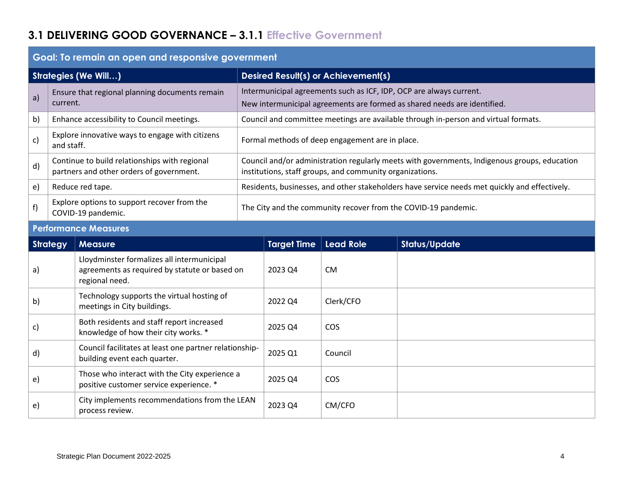## **3.1 DELIVERING GOOD GOVERNANCE – 3.1.1 Effective Government**

|                             | Goal: To remain an open and responsive government                                        |                                                                                                               |  |                                                                |                                                          |                                                                                                                                                 |  |  |
|-----------------------------|------------------------------------------------------------------------------------------|---------------------------------------------------------------------------------------------------------------|--|----------------------------------------------------------------|----------------------------------------------------------|-------------------------------------------------------------------------------------------------------------------------------------------------|--|--|
| <b>Strategies (We Will)</b> |                                                                                          |                                                                                                               |  | <b>Desired Result(s) or Achievement(s)</b>                     |                                                          |                                                                                                                                                 |  |  |
| a)                          | current.                                                                                 | Ensure that regional planning documents remain                                                                |  |                                                                |                                                          | Intermunicipal agreements such as ICF, IDP, OCP are always current.<br>New intermunicipal agreements are formed as shared needs are identified. |  |  |
| b)                          |                                                                                          | Enhance accessibility to Council meetings.                                                                    |  |                                                                |                                                          | Council and committee meetings are available through in-person and virtual formats.                                                             |  |  |
| c)                          | and staff.                                                                               | Explore innovative ways to engage with citizens                                                               |  |                                                                | Formal methods of deep engagement are in place.          |                                                                                                                                                 |  |  |
| d)                          |                                                                                          | Continue to build relationships with regional<br>partners and other orders of government.                     |  |                                                                | institutions, staff groups, and community organizations. | Council and/or administration regularly meets with governments, Indigenous groups, education                                                    |  |  |
| $\epsilon$ )                |                                                                                          | Reduce red tape.                                                                                              |  |                                                                |                                                          | Residents, businesses, and other stakeholders have service needs met quickly and effectively.                                                   |  |  |
| f)                          | Explore options to support recover from the<br>COVID-19 pandemic.                        |                                                                                                               |  | The City and the community recover from the COVID-19 pandemic. |                                                          |                                                                                                                                                 |  |  |
|                             |                                                                                          | <b>Performance Measures</b>                                                                                   |  |                                                                |                                                          |                                                                                                                                                 |  |  |
|                             | <b>Strategy</b>                                                                          | <b>Measure</b>                                                                                                |  | <b>Target Time</b>                                             | <b>Lead Role</b>                                         | <b>Status/Update</b>                                                                                                                            |  |  |
| a)                          |                                                                                          | Lloydminster formalizes all intermunicipal<br>agreements as required by statute or based on<br>regional need. |  | 2023 Q4                                                        | <b>CM</b>                                                |                                                                                                                                                 |  |  |
| b)                          |                                                                                          | Technology supports the virtual hosting of<br>meetings in City buildings.                                     |  | 2022 Q4                                                        | Clerk/CFO                                                |                                                                                                                                                 |  |  |
| c)                          |                                                                                          | Both residents and staff report increased<br>knowledge of how their city works. *                             |  | 2025 Q4                                                        | COS                                                      |                                                                                                                                                 |  |  |
| d)                          |                                                                                          | Council facilitates at least one partner relationship-<br>building event each quarter.                        |  | 2025 Q1                                                        | Council                                                  |                                                                                                                                                 |  |  |
|                             | Those who interact with the City experience a<br>positive customer service experience. * |                                                                                                               |  |                                                                |                                                          |                                                                                                                                                 |  |  |
| e)                          |                                                                                          |                                                                                                               |  | 2025 Q4                                                        | <b>COS</b>                                               |                                                                                                                                                 |  |  |
| e)                          |                                                                                          | City implements recommendations from the LEAN<br>process review.                                              |  | 2023 Q4                                                        | CM/CFO                                                   |                                                                                                                                                 |  |  |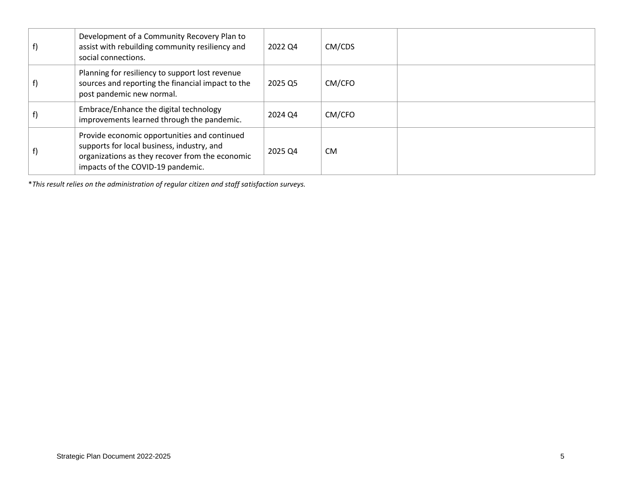| Development of a Community Recovery Plan to<br>assist with rebuilding community resiliency and<br>social connections.                                                              | 2022 04 | CM/CDS    |  |
|------------------------------------------------------------------------------------------------------------------------------------------------------------------------------------|---------|-----------|--|
| Planning for resiliency to support lost revenue<br>sources and reporting the financial impact to the<br>post pandemic new normal.                                                  | 2025 Q5 | CM/CFO    |  |
| Embrace/Enhance the digital technology<br>improvements learned through the pandemic.                                                                                               | 2024 Q4 | CM/CFO    |  |
| Provide economic opportunities and continued<br>supports for local business, industry, and<br>organizations as they recover from the economic<br>impacts of the COVID-19 pandemic. | 2025 Q4 | <b>CM</b> |  |

\**This result relies on the administration of regular citizen and staff satisfaction surveys.*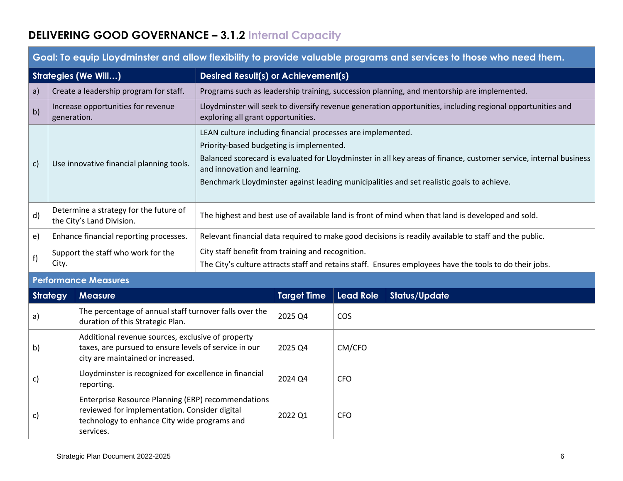# **DELIVERING GOOD GOVERNANCE – 3.1.2 Internal Capacity**

|              | <u>adah sayan masara ang mga nagarang ng kasang mga mga ng kasang sang mga sanggang ang ang mga nagara ng mga mga</u> |                                                                                                                                                                                                                                                                                                                                                           |  |  |  |  |  |
|--------------|-----------------------------------------------------------------------------------------------------------------------|-----------------------------------------------------------------------------------------------------------------------------------------------------------------------------------------------------------------------------------------------------------------------------------------------------------------------------------------------------------|--|--|--|--|--|
|              | <b>Strategies (We Will)</b>                                                                                           | <b>Desired Result(s) or Achievement(s)</b>                                                                                                                                                                                                                                                                                                                |  |  |  |  |  |
| a)           | Create a leadership program for staff.                                                                                | Programs such as leadership training, succession planning, and mentorship are implemented.                                                                                                                                                                                                                                                                |  |  |  |  |  |
| b)           | Increase opportunities for revenue<br>generation.                                                                     | Lloydminster will seek to diversify revenue generation opportunities, including regional opportunities and<br>exploring all grant opportunities.                                                                                                                                                                                                          |  |  |  |  |  |
| $\mathsf{C}$ | Use innovative financial planning tools.                                                                              | LEAN culture including financial processes are implemented.<br>Priority-based budgeting is implemented.<br>Balanced scorecard is evaluated for Lloydminster in all key areas of finance, customer service, internal business<br>and innovation and learning.<br>Benchmark Lloydminster against leading municipalities and set realistic goals to achieve. |  |  |  |  |  |
| d)           | Determine a strategy for the future of<br>the City's Land Division.                                                   | The highest and best use of available land is front of mind when that land is developed and sold.                                                                                                                                                                                                                                                         |  |  |  |  |  |
| $\epsilon$   | Enhance financial reporting processes.                                                                                | Relevant financial data required to make good decisions is readily available to staff and the public.                                                                                                                                                                                                                                                     |  |  |  |  |  |
| f)           | Support the staff who work for the<br>City.                                                                           | City staff benefit from training and recognition.<br>The City's culture attracts staff and retains staff. Ensures employees have the tools to do their jobs.                                                                                                                                                                                              |  |  |  |  |  |
|              | <b>Performance Measures</b>                                                                                           |                                                                                                                                                                                                                                                                                                                                                           |  |  |  |  |  |

## **Goal: To equip Lloydminster and allow flexibility to provide valuable programs and services to those who need them.**

#### **Performance Measures**

| <b>Strategy</b> | <b>Measure</b>                                                                                                                                                   | <b>Target Time</b> | <b>Lead Role</b> | <b>Status/Update</b> |
|-----------------|------------------------------------------------------------------------------------------------------------------------------------------------------------------|--------------------|------------------|----------------------|
| $\mathsf{a}$    | The percentage of annual staff turnover falls over the<br>duration of this Strategic Plan.                                                                       | 2025 Q4            | <b>COS</b>       |                      |
| b)              | Additional revenue sources, exclusive of property<br>taxes, are pursued to ensure levels of service in our<br>city are maintained or increased.                  | 2025 Q4            | CM/CFO           |                      |
| c)              | Lloydminster is recognized for excellence in financial<br>reporting.                                                                                             | 2024 Q4            | CFO.             |                      |
| C)              | Enterprise Resource Planning (ERP) recommendations<br>reviewed for implementation. Consider digital<br>technology to enhance City wide programs and<br>services. | 2022 Q1            | CFO.             |                      |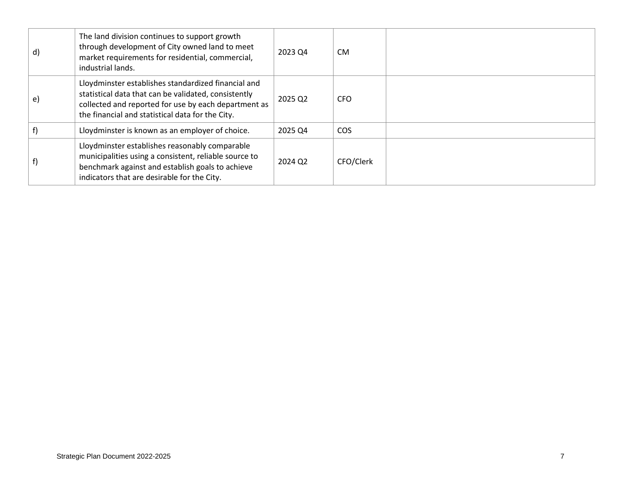| $\mathsf{d}$ | The land division continues to support growth<br>through development of City owned land to meet<br>market requirements for residential, commercial,<br>industrial lands.                                                | 2023 Q4 | <b>CM</b>       |
|--------------|-------------------------------------------------------------------------------------------------------------------------------------------------------------------------------------------------------------------------|---------|-----------------|
| e)           | Lloydminster establishes standardized financial and<br>statistical data that can be validated, consistently<br>collected and reported for use by each department as<br>the financial and statistical data for the City. | 2025 Q2 | <b>CFO</b>      |
|              | Lloydminster is known as an employer of choice.                                                                                                                                                                         | 2025 Q4 | CO <sub>S</sub> |
|              | Lloydminster establishes reasonably comparable<br>municipalities using a consistent, reliable source to<br>benchmark against and establish goals to achieve<br>indicators that are desirable for the City.              | 2024 Q2 | CFO/Clerk       |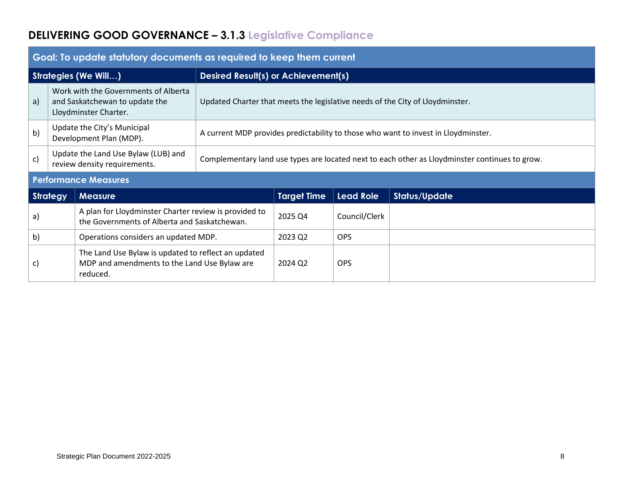# **DELIVERING GOOD GOVERNANCE – 3.1.3 Legislative Compliance**

|                             | Goal: To update statutory documents as required to keep them current |                                                                                                                 |                                                                                                |                                                                               |                  |                      |  |  |
|-----------------------------|----------------------------------------------------------------------|-----------------------------------------------------------------------------------------------------------------|------------------------------------------------------------------------------------------------|-------------------------------------------------------------------------------|------------------|----------------------|--|--|
| <b>Strategies (We Will)</b> |                                                                      |                                                                                                                 | <b>Desired Result(s) or Achievement(s)</b>                                                     |                                                                               |                  |                      |  |  |
| a)                          |                                                                      | Work with the Governments of Alberta<br>and Saskatchewan to update the<br>Lloydminster Charter.                 |                                                                                                | Updated Charter that meets the legislative needs of the City of Lloydminster. |                  |                      |  |  |
| b)                          |                                                                      | Update the City's Municipal<br>Development Plan (MDP).                                                          | A current MDP provides predictability to those who want to invest in Lloydminster.             |                                                                               |                  |                      |  |  |
| c)                          |                                                                      | Update the Land Use Bylaw (LUB) and<br>review density requirements.                                             | Complementary land use types are located next to each other as Lloydminster continues to grow. |                                                                               |                  |                      |  |  |
|                             |                                                                      | <b>Performance Measures</b>                                                                                     |                                                                                                |                                                                               |                  |                      |  |  |
|                             | <b>Strategy</b>                                                      | <b>Measure</b>                                                                                                  |                                                                                                | <b>Target Time</b>                                                            | <b>Lead Role</b> | <b>Status/Update</b> |  |  |
| a)                          |                                                                      | A plan for Lloydminster Charter review is provided to<br>the Governments of Alberta and Saskatchewan.           |                                                                                                | 2025 Q4                                                                       | Council/Clerk    |                      |  |  |
| b)                          | Operations considers an updated MDP.                                 |                                                                                                                 |                                                                                                | 2023 Q2                                                                       | <b>OPS</b>       |                      |  |  |
| C)                          |                                                                      | The Land Use Bylaw is updated to reflect an updated<br>MDP and amendments to the Land Use Bylaw are<br>reduced. |                                                                                                | 2024 Q2                                                                       | <b>OPS</b>       |                      |  |  |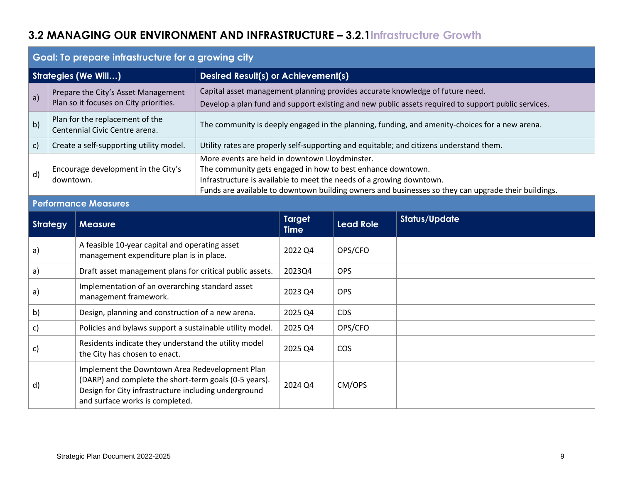## **3.2 MANAGING OUR ENVIRONMENT AND INFRASTRUCTURE – 3.2.1Infrastructure Growth**

|                             | Goal: To prepare infrastructure for a growing city                            |                                                                                                                                                                                                                                                                                              |  |  |  |  |  |
|-----------------------------|-------------------------------------------------------------------------------|----------------------------------------------------------------------------------------------------------------------------------------------------------------------------------------------------------------------------------------------------------------------------------------------|--|--|--|--|--|
| <b>Strategies (We Will)</b> |                                                                               | Desired Result(s) or Achievement(s)                                                                                                                                                                                                                                                          |  |  |  |  |  |
| a)                          | Prepare the City's Asset Management<br>Plan so it focuses on City priorities. | Capital asset management planning provides accurate knowledge of future need.<br>Develop a plan fund and support existing and new public assets required to support public services.                                                                                                         |  |  |  |  |  |
| b)                          | Plan for the replacement of the<br>Centennial Civic Centre arena.             | The community is deeply engaged in the planning, funding, and amenity-choices for a new arena.                                                                                                                                                                                               |  |  |  |  |  |
| c)                          | Create a self-supporting utility model.                                       | Utility rates are properly self-supporting and equitable; and citizens understand them.                                                                                                                                                                                                      |  |  |  |  |  |
| d)                          | Encourage development in the City's<br>downtown.                              | More events are held in downtown Lloydminster.<br>The community gets engaged in how to best enhance downtown.<br>Infrastructure is available to meet the needs of a growing downtown.<br>Funds are available to downtown building owners and businesses so they can upgrade their buildings. |  |  |  |  |  |

## **Performance Measures**

| <b>Strategy</b> | <b>Measure</b>                                                                                                                                                                                     | <b>Target</b><br><b>Time</b> | <b>Lead Role</b> | <b>Status/Update</b> |
|-----------------|----------------------------------------------------------------------------------------------------------------------------------------------------------------------------------------------------|------------------------------|------------------|----------------------|
| a)              | A feasible 10-year capital and operating asset<br>management expenditure plan is in place.                                                                                                         | 2022 Q4                      | OPS/CFO          |                      |
| a)              | Draft asset management plans for critical public assets.                                                                                                                                           | 2023Q4                       | <b>OPS</b>       |                      |
| a)              | Implementation of an overarching standard asset<br>management framework.                                                                                                                           | 2023 Q4                      | <b>OPS</b>       |                      |
| b)              | Design, planning and construction of a new arena.                                                                                                                                                  | 2025 Q4                      | <b>CDS</b>       |                      |
| c)              | Policies and bylaws support a sustainable utility model.                                                                                                                                           | 2025 Q4                      | OPS/CFO          |                      |
| c)              | Residents indicate they understand the utility model<br>the City has chosen to enact.                                                                                                              | 2025 Q4                      | <b>COS</b>       |                      |
| d)              | Implement the Downtown Area Redevelopment Plan<br>(DARP) and complete the short-term goals (0-5 years).<br>Design for City infrastructure including underground<br>and surface works is completed. | 2024 Q4                      | CM/OPS           |                      |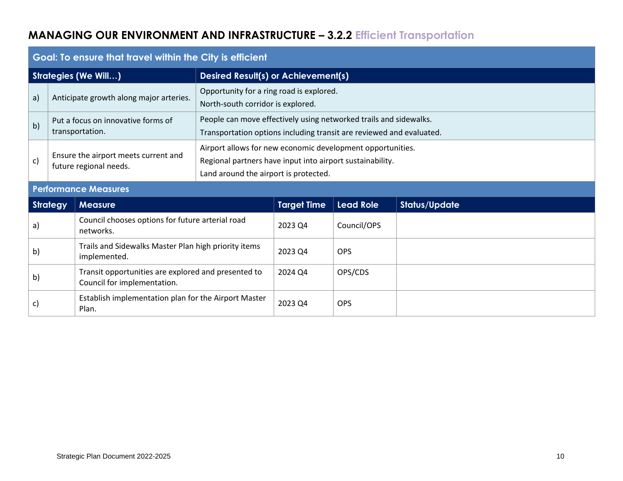# **MANAGING OUR ENVIRONMENT AND INFRASTRUCTURE – 3.2.2 Efficient Transportation**

|    | Goal: To ensure that travel within the City is efficient                                                                 |                                                                      |                                                                                                                                                                  |                                                                                                                                           |                  |                      |  |  |  |
|----|--------------------------------------------------------------------------------------------------------------------------|----------------------------------------------------------------------|------------------------------------------------------------------------------------------------------------------------------------------------------------------|-------------------------------------------------------------------------------------------------------------------------------------------|------------------|----------------------|--|--|--|
|    |                                                                                                                          | <b>Strategies (We Will)</b>                                          |                                                                                                                                                                  | Desired Result(s) or Achievement(s)                                                                                                       |                  |                      |  |  |  |
| a) | Opportunity for a ring road is explored.<br>Anticipate growth along major arteries.<br>North-south corridor is explored. |                                                                      |                                                                                                                                                                  |                                                                                                                                           |                  |                      |  |  |  |
| b) |                                                                                                                          | Put a focus on innovative forms of<br>transportation.                |                                                                                                                                                                  | People can move effectively using networked trails and sidewalks.<br>Transportation options including transit are reviewed and evaluated. |                  |                      |  |  |  |
| c) |                                                                                                                          | Ensure the airport meets current and<br>future regional needs.       | Airport allows for new economic development opportunities.<br>Regional partners have input into airport sustainability.<br>Land around the airport is protected. |                                                                                                                                           |                  |                      |  |  |  |
|    |                                                                                                                          | <b>Performance Measures</b>                                          |                                                                                                                                                                  |                                                                                                                                           |                  |                      |  |  |  |
|    | <b>Strategy</b>                                                                                                          | <b>Measure</b>                                                       |                                                                                                                                                                  | <b>Target Time</b>                                                                                                                        | <b>Lead Role</b> | <b>Status/Update</b> |  |  |  |
| a) |                                                                                                                          | Council chooses options for future arterial road<br>networks.        |                                                                                                                                                                  | 2023 Q4                                                                                                                                   | Council/OPS      |                      |  |  |  |
| b) |                                                                                                                          | Trails and Sidewalks Master Plan high priority items<br>implemented. |                                                                                                                                                                  | 2023 Q4                                                                                                                                   | <b>OPS</b>       |                      |  |  |  |
| b) | Transit opportunities are explored and presented to<br>Council for implementation.                                       |                                                                      |                                                                                                                                                                  | 2024 Q4                                                                                                                                   | OPS/CDS          |                      |  |  |  |
| C) |                                                                                                                          | Establish implementation plan for the Airport Master<br>Plan.        |                                                                                                                                                                  | 2023 Q4                                                                                                                                   | <b>OPS</b>       |                      |  |  |  |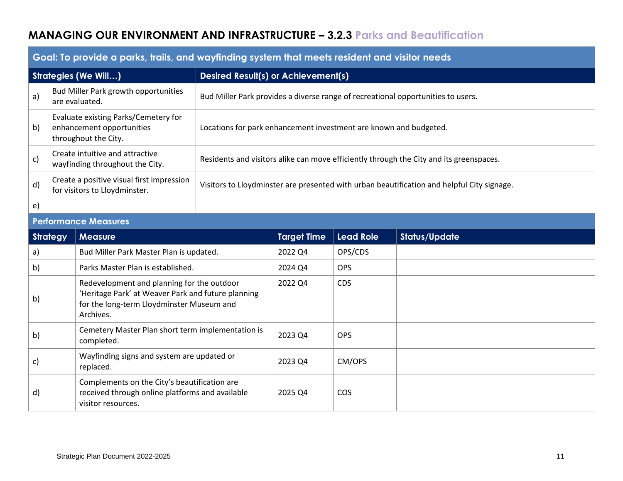## **MANAGING OUR ENVIRONMENT AND INFRASTRUCTURE – 3.2.3 Parks and Beautification**

|                                                                                                                                                                      | <u>a and it bit in a bailed in the set of the set of the set of the set of the set of the set of the set of the set of the set of the set of the set of the set of the set of the set of the set of the set of the set of the se</u> |                                                                            |                                                                                            |                                                                                         |                  |                      |  |
|----------------------------------------------------------------------------------------------------------------------------------------------------------------------|--------------------------------------------------------------------------------------------------------------------------------------------------------------------------------------------------------------------------------------|----------------------------------------------------------------------------|--------------------------------------------------------------------------------------------|-----------------------------------------------------------------------------------------|------------------|----------------------|--|
|                                                                                                                                                                      |                                                                                                                                                                                                                                      | Strategies (We Will)                                                       |                                                                                            | <b>Desired Result(s) or Achievement(s)</b>                                              |                  |                      |  |
| a)                                                                                                                                                                   |                                                                                                                                                                                                                                      | Bud Miller Park growth opportunities<br>are evaluated.                     |                                                                                            | Bud Miller Park provides a diverse range of recreational opportunities to users.        |                  |                      |  |
| Evaluate existing Parks/Cemetery for<br>b)<br>enhancement opportunities<br>Locations for park enhancement investment are known and budgeted.<br>throughout the City. |                                                                                                                                                                                                                                      |                                                                            |                                                                                            |                                                                                         |                  |                      |  |
| c)                                                                                                                                                                   |                                                                                                                                                                                                                                      | Create intuitive and attractive<br>wayfinding throughout the City.         |                                                                                            | Residents and visitors alike can move efficiently through the City and its greenspaces. |                  |                      |  |
| d)                                                                                                                                                                   |                                                                                                                                                                                                                                      | Create a positive visual first impression<br>for visitors to Lloydminster. | Visitors to Lloydminster are presented with urban beautification and helpful City signage. |                                                                                         |                  |                      |  |
| $\epsilon$                                                                                                                                                           |                                                                                                                                                                                                                                      |                                                                            |                                                                                            |                                                                                         |                  |                      |  |
|                                                                                                                                                                      | <b>Performance Measures</b>                                                                                                                                                                                                          |                                                                            |                                                                                            |                                                                                         |                  |                      |  |
|                                                                                                                                                                      | <b>Strategy</b>                                                                                                                                                                                                                      | <b>Measure</b>                                                             |                                                                                            | <b>Target Time</b>                                                                      | <b>Lead Role</b> | <b>Status/Update</b> |  |
| a)                                                                                                                                                                   |                                                                                                                                                                                                                                      | Bud Miller Park Master Plan is updated.                                    |                                                                                            | 2022 Q4                                                                                 | OPS/CDS          |                      |  |

## **Goal: To provide a parks, trails, and wayfinding system that meets resident and visitor needs**

| <b>Strategy</b> | <b>Measure</b>                                                                                                                                             | <b>Target Time</b> | <b>Lead Role</b> | <b>Status/Update</b> |
|-----------------|------------------------------------------------------------------------------------------------------------------------------------------------------------|--------------------|------------------|----------------------|
| a)              | Bud Miller Park Master Plan is updated.                                                                                                                    | 2022 Q4            | OPS/CDS          |                      |
| b)              | Parks Master Plan is established.                                                                                                                          | 2024 Q4            | <b>OPS</b>       |                      |
| b)              | Redevelopment and planning for the outdoor<br>'Heritage Park' at Weaver Park and future planning<br>for the long-term Lloydminster Museum and<br>Archives. |                    | <b>CDS</b>       |                      |
| b)              | Cemetery Master Plan short term implementation is<br>completed.                                                                                            | 2023 Q4            | <b>OPS</b>       |                      |
| c)              | Wayfinding signs and system are updated or<br>replaced.                                                                                                    | 2023 Q4            | CM/OPS           |                      |
| $\mathsf{d}$    | Complements on the City's beautification are<br>received through online platforms and available<br>visitor resources.                                      | 2025 Q4            | <b>COS</b>       |                      |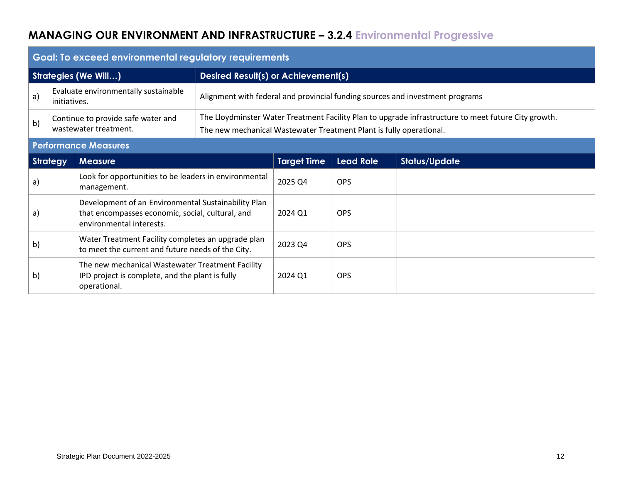# **MANAGING OUR ENVIRONMENT AND INFRASTRUCTURE – 3.2.4 Environmental Progressive**

|                                                                           | Goal: To exceed environmental regulatory requirements |                                                                                                                                     |                                                                                                                                                                             |                                                                               |                  |                      |  |
|---------------------------------------------------------------------------|-------------------------------------------------------|-------------------------------------------------------------------------------------------------------------------------------------|-----------------------------------------------------------------------------------------------------------------------------------------------------------------------------|-------------------------------------------------------------------------------|------------------|----------------------|--|
| <b>Strategies (We Will)</b><br><b>Desired Result(s) or Achievement(s)</b> |                                                       |                                                                                                                                     |                                                                                                                                                                             |                                                                               |                  |                      |  |
| a)                                                                        | initiatives.                                          | Evaluate environmentally sustainable                                                                                                |                                                                                                                                                                             | Alignment with federal and provincial funding sources and investment programs |                  |                      |  |
| Continue to provide safe water and<br>b)<br>wastewater treatment.         |                                                       |                                                                                                                                     | The Lloydminster Water Treatment Facility Plan to upgrade infrastructure to meet future City growth.<br>The new mechanical Wastewater Treatment Plant is fully operational. |                                                                               |                  |                      |  |
|                                                                           |                                                       | <b>Performance Measures</b>                                                                                                         |                                                                                                                                                                             |                                                                               |                  |                      |  |
|                                                                           | <b>Strategy</b>                                       | <b>Measure</b>                                                                                                                      |                                                                                                                                                                             | <b>Target Time</b>                                                            | <b>Lead Role</b> | <b>Status/Update</b> |  |
| a)                                                                        |                                                       | Look for opportunities to be leaders in environmental<br>management.                                                                |                                                                                                                                                                             | 2025 Q4                                                                       | <b>OPS</b>       |                      |  |
| a)                                                                        |                                                       | Development of an Environmental Sustainability Plan<br>that encompasses economic, social, cultural, and<br>environmental interests. |                                                                                                                                                                             | 2024 Q1                                                                       | <b>OPS</b>       |                      |  |
| b)                                                                        |                                                       | Water Treatment Facility completes an upgrade plan<br>to meet the current and future needs of the City.                             |                                                                                                                                                                             | 2023 Q4                                                                       | <b>OPS</b>       |                      |  |
| b)                                                                        |                                                       | The new mechanical Wastewater Treatment Facility<br>IPD project is complete, and the plant is fully<br>operational.                 |                                                                                                                                                                             | 2024 Q1                                                                       | <b>OPS</b>       |                      |  |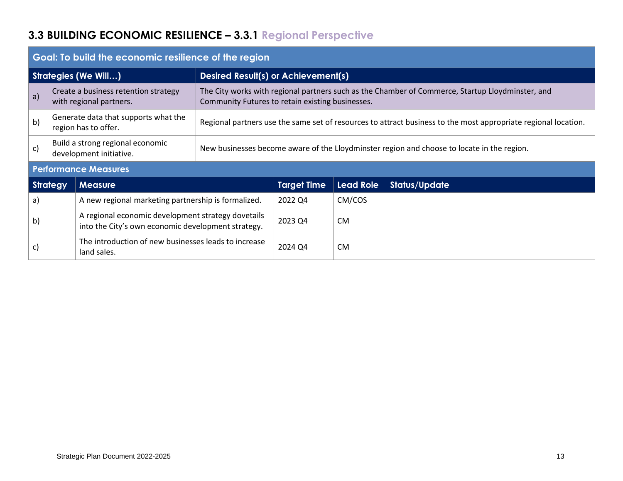# **3.3 BUILDING ECONOMIC RESILIENCE – 3.3.1 Regional Perspective**

| Goal: To build the economic resilience of the region |                                                                     |                                                                                                          |                                                                                                                                                      |                    |                  |                      |  |
|------------------------------------------------------|---------------------------------------------------------------------|----------------------------------------------------------------------------------------------------------|------------------------------------------------------------------------------------------------------------------------------------------------------|--------------------|------------------|----------------------|--|
| <b>Strategies (We Will)</b>                          |                                                                     |                                                                                                          | Desired Result(s) or Achievement(s)                                                                                                                  |                    |                  |                      |  |
| a)                                                   |                                                                     | Create a business retention strategy<br>with regional partners.                                          | The City works with regional partners such as the Chamber of Commerce, Startup Lloydminster, and<br>Community Futures to retain existing businesses. |                    |                  |                      |  |
| b)                                                   |                                                                     | Generate data that supports what the<br>region has to offer.                                             | Regional partners use the same set of resources to attract business to the most appropriate regional location.                                       |                    |                  |                      |  |
| c)                                                   |                                                                     | Build a strong regional economic<br>development initiative.                                              | New businesses become aware of the Lloydminster region and choose to locate in the region.                                                           |                    |                  |                      |  |
| <b>Performance Measures</b>                          |                                                                     |                                                                                                          |                                                                                                                                                      |                    |                  |                      |  |
| <b>Strategy</b>                                      |                                                                     | <b>Measure</b>                                                                                           |                                                                                                                                                      | <b>Target Time</b> | <b>Lead Role</b> | <b>Status/Update</b> |  |
| a)                                                   |                                                                     | A new regional marketing partnership is formalized.                                                      |                                                                                                                                                      | 2022 Q4            | CM/COS           |                      |  |
| b)                                                   |                                                                     | A regional economic development strategy dovetails<br>into the City's own economic development strategy. |                                                                                                                                                      | 2023 Q4            | <b>CM</b>        |                      |  |
| C)                                                   | The introduction of new businesses leads to increase<br>land sales. |                                                                                                          |                                                                                                                                                      | 2024 Q4            | <b>CM</b>        |                      |  |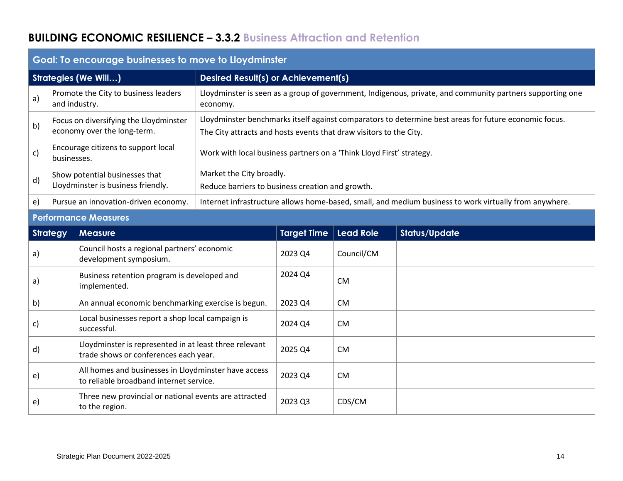## **BUILDING ECONOMIC RESILIENCE – 3.3.2 Business Attraction and Retention**

| Godi: To encourage pusinesses to move to Lloydminster                     |                                                                       |                                                                                                 |                                                                                                                                                                             |                                                                                                        |                  |                      |  |  |
|---------------------------------------------------------------------------|-----------------------------------------------------------------------|-------------------------------------------------------------------------------------------------|-----------------------------------------------------------------------------------------------------------------------------------------------------------------------------|--------------------------------------------------------------------------------------------------------|------------------|----------------------|--|--|
| <b>Strategies (We Will)</b><br><b>Desired Result(s) or Achievement(s)</b> |                                                                       |                                                                                                 |                                                                                                                                                                             |                                                                                                        |                  |                      |  |  |
| a)                                                                        | Promote the City to business leaders<br>and industry.                 |                                                                                                 | Lloydminster is seen as a group of government, Indigenous, private, and community partners supporting one<br>economy.                                                       |                                                                                                        |                  |                      |  |  |
| b)                                                                        | Focus on diversifying the Lloydminster<br>economy over the long-term. |                                                                                                 | Lloydminster benchmarks itself against comparators to determine best areas for future economic focus.<br>The City attracts and hosts events that draw visitors to the City. |                                                                                                        |                  |                      |  |  |
| c)                                                                        | Encourage citizens to support local<br>businesses.                    |                                                                                                 | Work with local business partners on a 'Think Lloyd First' strategy.                                                                                                        |                                                                                                        |                  |                      |  |  |
| d)                                                                        | Show potential businesses that<br>Lloydminster is business friendly.  |                                                                                                 | Market the City broadly.<br>Reduce barriers to business creation and growth.                                                                                                |                                                                                                        |                  |                      |  |  |
| e)                                                                        | Pursue an innovation-driven economy.                                  |                                                                                                 |                                                                                                                                                                             | Internet infrastructure allows home-based, small, and medium business to work virtually from anywhere. |                  |                      |  |  |
|                                                                           | <b>Performance Measures</b>                                           |                                                                                                 |                                                                                                                                                                             |                                                                                                        |                  |                      |  |  |
| <b>Strategy</b>                                                           |                                                                       | <b>Measure</b>                                                                                  |                                                                                                                                                                             | <b>Target Time</b>                                                                                     | <b>Lead Role</b> | <b>Status/Update</b> |  |  |
| a)                                                                        |                                                                       | Council hosts a regional partners' economic<br>development symposium.                           |                                                                                                                                                                             | 2023 Q4                                                                                                | Council/CM       |                      |  |  |
| a)                                                                        |                                                                       | Business retention program is developed and<br>implemented.                                     |                                                                                                                                                                             | 2024 Q4                                                                                                | <b>CM</b>        |                      |  |  |
| b)                                                                        |                                                                       | An annual economic benchmarking exercise is begun.                                              |                                                                                                                                                                             | 2023 Q4                                                                                                | <b>CM</b>        |                      |  |  |
| c)                                                                        |                                                                       | Local businesses report a shop local campaign is<br>successful.                                 |                                                                                                                                                                             | 2024 Q4                                                                                                | <b>CM</b>        |                      |  |  |
| d)                                                                        |                                                                       | Lloydminster is represented in at least three relevant<br>trade shows or conferences each year. |                                                                                                                                                                             | 2025 Q4                                                                                                | <b>CM</b>        |                      |  |  |
| e)                                                                        |                                                                       | All homes and businesses in Lloydminster have access<br>to reliable broadband internet service. |                                                                                                                                                                             | 2023 Q4                                                                                                | <b>CM</b>        |                      |  |  |
| e)                                                                        |                                                                       | Three new provincial or national events are attracted<br>to the region.                         |                                                                                                                                                                             | 2023 Q3                                                                                                | CDS/CM           |                      |  |  |

#### **Goal: To encourage businesses to move to Lloydminster**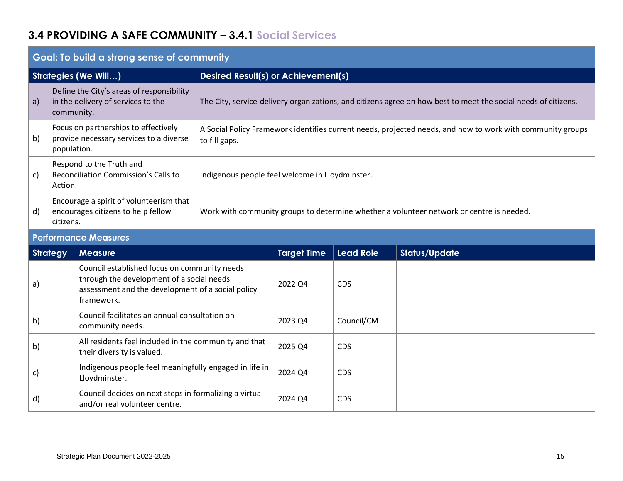## **3.4 PROVIDING A SAFE COMMUNITY – 3.4.1 Social Services**

| Goal: To build a strong sense of community |                                                                                                |                                                                                                                             |  |  |  |  |
|--------------------------------------------|------------------------------------------------------------------------------------------------|-----------------------------------------------------------------------------------------------------------------------------|--|--|--|--|
|                                            | <b>Strategies (We Will)</b>                                                                    | <b>Desired Result(s) or Achievement(s)</b>                                                                                  |  |  |  |  |
| a)                                         | Define the City's areas of responsibility<br>in the delivery of services to the<br>community.  | The City, service-delivery organizations, and citizens agree on how best to meet the social needs of citizens.              |  |  |  |  |
| b)                                         | Focus on partnerships to effectively<br>provide necessary services to a diverse<br>population. | A Social Policy Framework identifies current needs, projected needs, and how to work with community groups<br>to fill gaps. |  |  |  |  |
| c)                                         | Respond to the Truth and<br>Reconciliation Commission's Calls to<br>Action.                    | Indigenous people feel welcome in Lloydminster.                                                                             |  |  |  |  |
| d)                                         | Encourage a spirit of volunteerism that<br>encourages citizens to help fellow<br>citizens.     | Work with community groups to determine whether a volunteer network or centre is needed.                                    |  |  |  |  |
|                                            |                                                                                                |                                                                                                                             |  |  |  |  |

#### **Goal: To build a strong sense of community**

## **Performance Measures**

| <b>Strategy</b> | <b>Measure</b>                                                                                                                                               | <b>Target Time</b> | <b>Lead Role</b> | <b>Status/Update</b> |
|-----------------|--------------------------------------------------------------------------------------------------------------------------------------------------------------|--------------------|------------------|----------------------|
| a)              | Council established focus on community needs<br>through the development of a social needs<br>assessment and the development of a social policy<br>framework. | 2022 Q4            | <b>CDS</b>       |                      |
| b)              | Council facilitates an annual consultation on<br>community needs.                                                                                            | 2023 Q4            | Council/CM       |                      |
| b)              | All residents feel included in the community and that<br>their diversity is valued.                                                                          | 2025 Q4            | <b>CDS</b>       |                      |
| C)              | Indigenous people feel meaningfully engaged in life in<br>Lloydminster.                                                                                      | 2024 Q4            | <b>CDS</b>       |                      |
| $\mathsf{d}$    | Council decides on next steps in formalizing a virtual<br>and/or real volunteer centre.                                                                      | 2024 Q4            | <b>CDS</b>       |                      |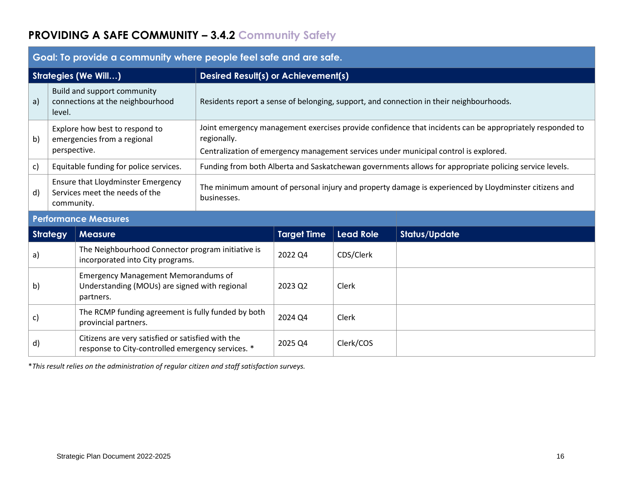# **PROVIDING A SAFE COMMUNITY – 3.4.2 Community Safety**

| Godi. To provide a community where people leef sale and die sale.                   |                                                                                                          |                                                                                                                                                                                                                                                                      |                                                                                       |                  |                      |  |  |
|-------------------------------------------------------------------------------------|----------------------------------------------------------------------------------------------------------|----------------------------------------------------------------------------------------------------------------------------------------------------------------------------------------------------------------------------------------------------------------------|---------------------------------------------------------------------------------------|------------------|----------------------|--|--|
|                                                                                     |                                                                                                          | <b>Desired Result(s) or Achievement(s)</b>                                                                                                                                                                                                                           |                                                                                       |                  |                      |  |  |
| level.                                                                              |                                                                                                          | Residents report a sense of belonging, support, and connection in their neighbourhoods.                                                                                                                                                                              |                                                                                       |                  |                      |  |  |
| Explore how best to respond to<br>b)<br>emergencies from a regional<br>perspective. |                                                                                                          | Joint emergency management exercises provide confidence that incidents can be appropriately responded to<br>regionally.<br>Centralization of emergency management services under municipal control is explored.                                                      |                                                                                       |                  |                      |  |  |
|                                                                                     |                                                                                                          | Funding from both Alberta and Saskatchewan governments allows for appropriate policing service levels.                                                                                                                                                               |                                                                                       |                  |                      |  |  |
|                                                                                     |                                                                                                          | The minimum amount of personal injury and property damage is experienced by Lloydminster citizens and<br>businesses.                                                                                                                                                 |                                                                                       |                  |                      |  |  |
|                                                                                     |                                                                                                          |                                                                                                                                                                                                                                                                      |                                                                                       |                  |                      |  |  |
| <b>Strategy</b>                                                                     | <b>Measure</b>                                                                                           |                                                                                                                                                                                                                                                                      | <b>Target Time</b>                                                                    | <b>Lead Role</b> | <b>Status/Update</b> |  |  |
|                                                                                     |                                                                                                          |                                                                                                                                                                                                                                                                      | 2022 Q4                                                                               | CDS/Clerk        |                      |  |  |
|                                                                                     | <b>Emergency Management Memorandums of</b><br>Understanding (MOUs) are signed with regional<br>partners. |                                                                                                                                                                                                                                                                      | 2023 Q2                                                                               | Clerk            |                      |  |  |
|                                                                                     | The RCMP funding agreement is fully funded by both<br>provincial partners.                               |                                                                                                                                                                                                                                                                      | 2024 Q4                                                                               | Clerk            |                      |  |  |
|                                                                                     | Citizens are very satisfied or satisfied with the<br>response to City-controlled emergency services. *   |                                                                                                                                                                                                                                                                      | 2025 Q4                                                                               | Clerk/COS        |                      |  |  |
|                                                                                     |                                                                                                          | <b>Strategies (We Will)</b><br>Build and support community<br>connections at the neighbourhood<br>Equitable funding for police services.<br><b>Ensure that Lloydminster Emergency</b><br>Services meet the needs of the<br>community.<br><b>Performance Measures</b> | The Neighbourhood Connector program initiative is<br>incorporated into City programs. |                  |                      |  |  |

**Goal: To provide a community where people feel safe and are safe.**

\**This result relies on the administration of regular citizen and staff satisfaction surveys.*